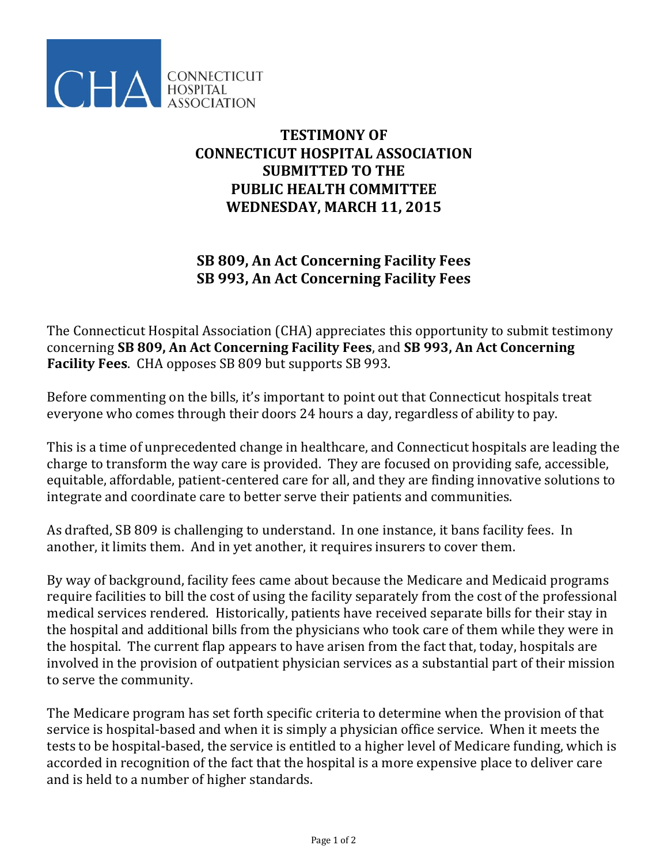

## **TESTIMONY OF CONNECTICUT HOSPITAL ASSOCIATION SUBMITTED TO THE PUBLIC HEALTH COMMITTEE WEDNESDAY, MARCH 11, 2015**

## **SB 809, An Act Concerning Facility Fees SB 993, An Act Concerning Facility Fees**

The Connecticut Hospital Association (CHA) appreciates this opportunity to submit testimony concerning **SB 809, An Act Concerning Facility Fees**, and **SB 993, An Act Concerning Facility Fees**. CHA opposes SB 809 but supports SB 993.

Before commenting on the bills, it's important to point out that Connecticut hospitals treat everyone who comes through their doors 24 hours a day, regardless of ability to pay.

This is a time of unprecedented change in healthcare, and Connecticut hospitals are leading the charge to transform the way care is provided. They are focused on providing safe, accessible, equitable, affordable, patient-centered care for all, and they are finding innovative solutions to integrate and coordinate care to better serve their patients and communities.

As drafted, SB 809 is challenging to understand. In one instance, it bans facility fees. In another, it limits them. And in yet another, it requires insurers to cover them.

By way of background, facility fees came about because the Medicare and Medicaid programs require facilities to bill the cost of using the facility separately from the cost of the professional medical services rendered. Historically, patients have received separate bills for their stay in the hospital and additional bills from the physicians who took care of them while they were in the hospital. The current flap appears to have arisen from the fact that, today, hospitals are involved in the provision of outpatient physician services as a substantial part of their mission to serve the community.

The Medicare program has set forth specific criteria to determine when the provision of that service is hospital-based and when it is simply a physician office service. When it meets the tests to be hospital-based, the service is entitled to a higher level of Medicare funding, which is accorded in recognition of the fact that the hospital is a more expensive place to deliver care and is held to a number of higher standards.